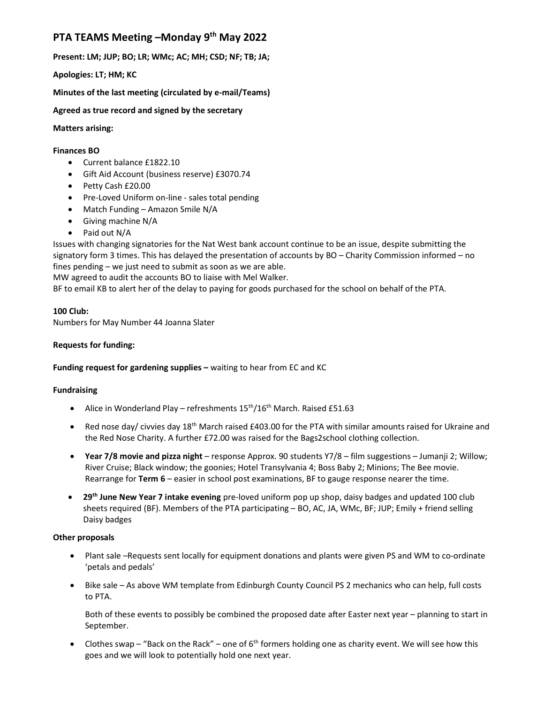# PTA TEAMS Meeting –Monday 9<sup>th</sup> May 2022

Present: LM; JUP; BO; LR; WMc; AC; MH; CSD; NF; TB; JA;

Apologies: LT; HM; KC

Minutes of the last meeting (circulated by e-mail/Teams)

Agreed as true record and signed by the secretary

### Matters arising:

#### Finances BO

- Current balance £1822.10
- Gift Aid Account (business reserve) £3070.74
- Petty Cash £20.00
- Pre-Loved Uniform on-line sales total pending
- Match Funding Amazon Smile N/A
- Giving machine N/A
- Paid out N/A

Issues with changing signatories for the Nat West bank account continue to be an issue, despite submitting the signatory form 3 times. This has delayed the presentation of accounts by BO – Charity Commission informed – no fines pending – we just need to submit as soon as we are able.

MW agreed to audit the accounts BO to liaise with Mel Walker.

BF to email KB to alert her of the delay to paying for goods purchased for the school on behalf of the PTA.

### 100 Club:

Numbers for May Number 44 Joanna Slater

### Requests for funding:

## Funding request for gardening supplies – waiting to hear from EC and KC

#### Fundraising

- Alice in Wonderland Play refreshments  $15<sup>th</sup>/16<sup>th</sup>$  March. Raised £51.63
- Red nose day/ civvies day 18<sup>th</sup> March raised £403.00 for the PTA with similar amounts raised for Ukraine and the Red Nose Charity. A further £72.00 was raised for the Bags2school clothing collection.
- Year 7/8 movie and pizza night response Approx. 90 students Y7/8 film suggestions Jumanji 2; Willow; River Cruise; Black window; the goonies; Hotel Transylvania 4; Boss Baby 2; Minions; The Bee movie. Rearrange for Term 6 – easier in school post examinations, BF to gauge response nearer the time.
- 29<sup>th</sup> June New Year 7 intake evening pre-loved uniform pop up shop, daisy badges and updated 100 club sheets required (BF). Members of the PTA participating – BO, AC, JA, WMc, BF; JUP; Emily + friend selling Daisy badges

## Other proposals

- Plant sale –Requests sent locally for equipment donations and plants were given PS and WM to co-ordinate 'petals and pedals'
- Bike sale As above WM template from Edinburgh County Council PS 2 mechanics who can help, full costs to PTA.

Both of these events to possibly be combined the proposed date after Easter next year – planning to start in September.

• Clothes swap – "Back on the Rack" – one of  $6<sup>th</sup>$  formers holding one as charity event. We will see how this goes and we will look to potentially hold one next year.